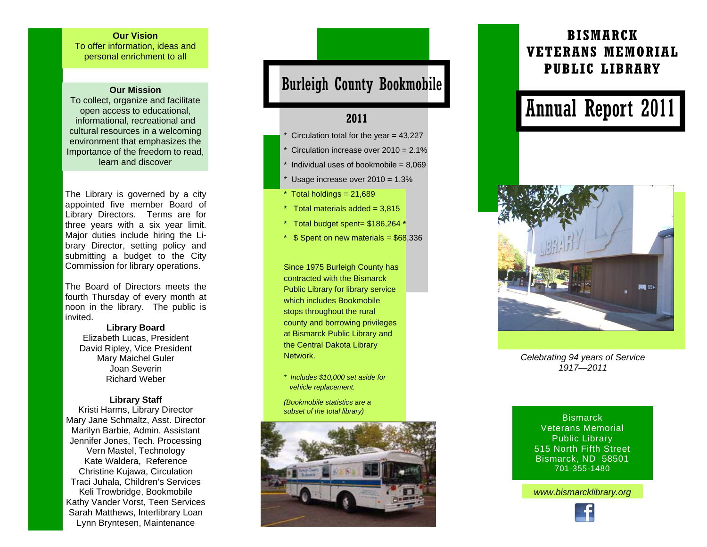#### **Our Vision**

To offer information, ideas and personal enrichment to all

#### **Our Mission**

To collect, organize and facilitate open access to educational, informational, recreational and cultural resources in a welcoming environment that emphasizes the Importance of the freedom to read, learn and discover

The Library is governed by a city appointed five member Board of Library Directors. Terms are for three years with a six year limit. Major duties include hiring the Library Director, setting policy and submitting a budget to the City Commission for library operations.

The Board of Directors meets the fourth Thursday of every month at noon in the library. The public is invited.

**Library Board**  Elizabeth Lucas, President David Ripley, Vice President Mary Maichel Guler Joan Severin Richard Weber

#### **Library Staff**

Kristi Harms, Library Director Mary Jane Schmaltz, Asst. Director Marilyn Barbie, Admin. Assistant Jennifer Jones, Tech. Processing Vern Mastel, Technology Kate Waldera, Reference Christine Kujawa, Circulation Traci Juhala, Children's Services Keli Trowbridge, Bookmobile Kathy Vander Vorst, Teen Services Sarah Matthews, Interlibrary Loan Lynn Bryntesen, Maintenance

## Burleigh County Bookmobile

### **2011**

- Circulation total for the year  $= 43,227$
- Circulation increase over  $2010 = 2.1\%$
- Individual uses of bookmobile =  $8,069$
- Usage increase over  $2010 = 1.3\%$
- $*$  Total holdings = 21,689
- $*$  Total materials added = 3.815
- \* Total budget spent= \$186,264 **\***
- $*$  \$ Spent on new materials = \$68,336

Since 1975 Burleigh County has contracted with the Bismarck Public Library for library service which includes Bookmobile stops throughout the rural county and borrowing privileges at Bismarck Public Library and the Central Dakota Library Network.

- *\* Includes \$10,000 set aside for vehicle replacement.*
- *(Bookmobile statistics are a subset of the total library)*



## **BISMARCK VETERANS MEMORIAL PUBLIC LIBRARY**

# Annual Report 2011



*Celebrating 94 years of Service 1917—2011* 

**Bismarck** Veterans Memorial Public Library 515 North Fifth Street Bismarck, ND 58501 701-355-1480

*www.bismarcklibrary.org*